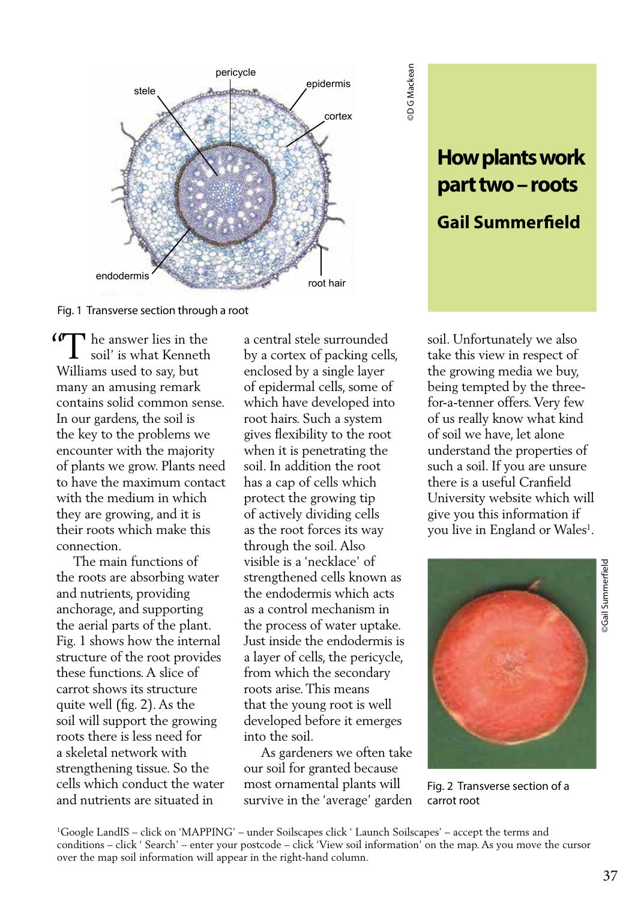

©D G Mackean DG Mackean

Fig. 1 Transverse section through a root

Get the answer lies in the soil' is what Kenneth soil' is what Kenneth Williams used to say, but many an amusing remark contains solid common sense. In our gardens, the soil is the key to the problems we encounter with the majority of plants we grow. Plants need to have the maximum contact with the medium in which they are growing, and it is their roots which make this connection.

 The main functions of the roots are absorbing water and nutrients, providing anchorage, and supporting the aerial parts of the plant. Fig. 1 shows how the internal structure of the root provides these functions. A slice of carrot shows its structure quite well (fig. 2). As the soil will support the growing roots there is less need for a skeletal network with strengthening tissue. So the cells which conduct the water and nutrients are situated in

a central stele surrounded by a cortex of packing cells, enclosed by a single layer of epidermal cells, some of which have developed into root hairs. Such a system gives flexibility to the root when it is penetrating the soil. In addition the root has a cap of cells which protect the growing tip of actively dividing cells as the root forces its way through the soil. Also visible is a 'necklace' of strengthened cells known as the endodermis which acts as a control mechanism in the process of water uptake. Just inside the endodermis is a layer of cells, the pericycle, from which the secondary roots arise. This means that the young root is well developed before it emerges into the soil.

 As gardeners we often take our soil for granted because most ornamental plants will survive in the 'average' garden soil. Unfortunately we also take this view in respect of the growing media we buy, being tempted by the threefor-a-tenner offers. Very few of us really know what kind of soil we have, let alone understand the properties of such a soil. If you are unsure there is a useful Cranfield University website which will give you this information if you live in England or Wales<sup>1</sup>.

**How plants work** 

**part two – roots**

**Gail Summerfield** 



Fig. 2 Transverse section of a carrot root

## Gail Summerfield ©Gail Summerfield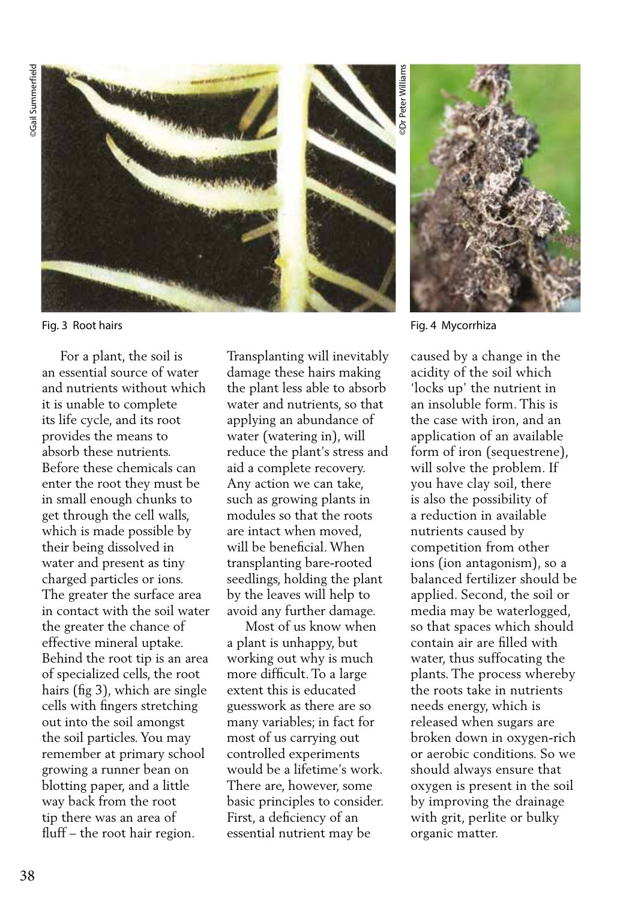**Gail Summerfield** ©Gail Summerfield



 For a plant, the soil is an essential source of water and nutrients without which it is unable to complete its life cycle, and its root provides the means to absorb these nutrients. Before these chemicals can enter the root they must be in small enough chunks to get through the cell walls, which is made possible by their being dissolved in water and present as tiny charged particles or ions. The greater the surface area in contact with the soil water the greater the chance of effective mineral uptake. Behind the root tip is an area of specialized cells, the root hairs (fig 3), which are single cells with fingers stretching out into the soil amongst the soil particles. You may remember at primary school growing a runner bean on blotting paper, and a little way back from the root tip there was an area of fluff – the root hair region.

Transplanting will inevitably damage these hairs making the plant less able to absorb water and nutrients, so that applying an abundance of water (watering in), will reduce the plant's stress and aid a complete recovery. Any action we can take, such as growing plants in modules so that the roots are intact when moved, will be beneficial. When transplanting bare-rooted seedlings, holding the plant by the leaves will help to avoid any further damage.

 Most of us know when a plant is unhappy, but working out why is much more difficult. To a large extent this is educated guesswork as there are so many variables; in fact for most of us carrying out controlled experiments would be a lifetime's work. There are, however, some basic principles to consider. First, a deficiency of an essential nutrient may be



Fig. 3 Root hairs Fig. 4 Mycorrhiza

caused by a change in the acidity of the soil which 'locks up' the nutrient in an insoluble form. This is the case with iron, and an application of an available form of iron (sequestrene), will solve the problem. If you have clay soil, there is also the possibility of a reduction in available nutrients caused by competition from other ions (ion antagonism), so a balanced fertilizer should be applied. Second, the soil or media may be waterlogged, so that spaces which should contain air are filled with water, thus suffocating the plants. The process whereby the roots take in nutrients needs energy, which is released when sugars are broken down in oxygen-rich or aerobic conditions. So we should always ensure that oxygen is present in the soil by improving the drainage with grit, perlite or bulky organic matter.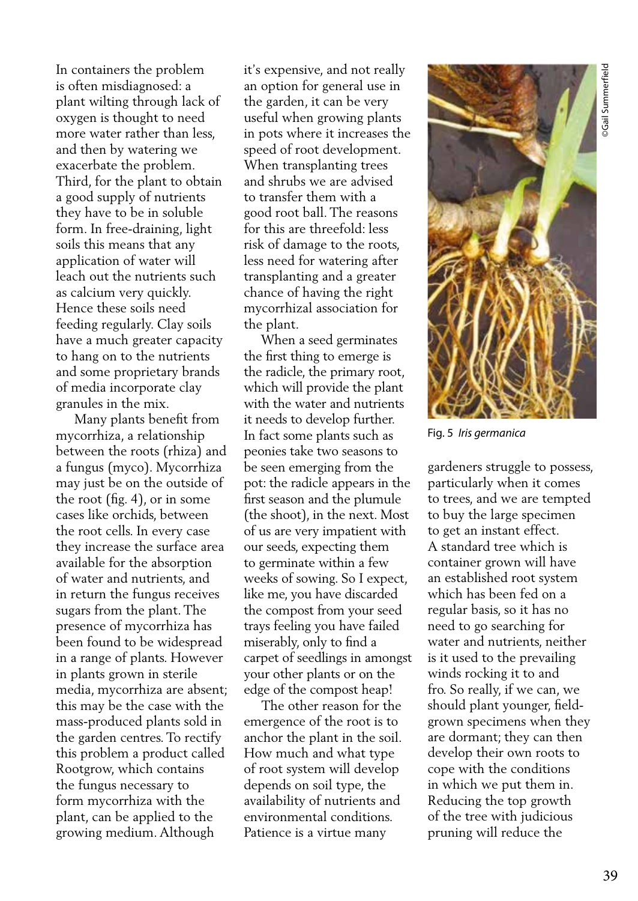In containers the problem is often misdiagnosed: a plant wilting through lack of oxygen is thought to need more water rather than less, and then by watering we exacerbate the problem. Third, for the plant to obtain a good supply of nutrients they have to be in soluble form. In free-draining, light soils this means that any application of water will leach out the nutrients such as calcium very quickly. Hence these soils need feeding regularly. Clay soils have a much greater capacity to hang on to the nutrients and some proprietary brands of media incorporate clay granules in the mix.

 Many plants benefit from mycorrhiza, a relationship between the roots (rhiza) and a fungus (myco). Mycorrhiza may just be on the outside of the root (fig. 4), or in some cases like orchids, between the root cells. In every case they increase the surface area available for the absorption of water and nutrients, and in return the fungus receives sugars from the plant. The presence of mycorrhiza has been found to be widespread in a range of plants. However in plants grown in sterile media, mycorrhiza are absent; this may be the case with the mass-produced plants sold in the garden centres. To rectify this problem a product called Rootgrow, which contains the fungus necessary to form mycorrhiza with the plant, can be applied to the growing medium. Although

it's expensive, and not really an option for general use in the garden, it can be very useful when growing plants in pots where it increases the speed of root development. When transplanting trees and shrubs we are advised to transfer them with a good root ball. The reasons for this are threefold: less risk of damage to the roots, less need for watering after transplanting and a greater chance of having the right mycorrhizal association for the plant.

 When a seed germinates the first thing to emerge is the radicle, the primary root, which will provide the plant with the water and nutrients it needs to develop further. In fact some plants such as peonies take two seasons to be seen emerging from the pot: the radicle appears in the first season and the plumule (the shoot), in the next. Most of us are very impatient with our seeds, expecting them to germinate within a few weeks of sowing. So I expect, like me, you have discarded the compost from your seed trays feeling you have failed miserably, only to find a carpet of seedlings in amongst your other plants or on the edge of the compost heap!

 The other reason for the emergence of the root is to anchor the plant in the soil. How much and what type of root system will develop depends on soil type, the availability of nutrients and environmental conditions. Patience is a virtue many



Fig. 5 *Iris germanica*

gardeners struggle to possess, particularly when it comes to trees, and we are tempted to buy the large specimen to get an instant effect. A standard tree which is container grown will have an established root system which has been fed on a regular basis, so it has no need to go searching for water and nutrients, neither is it used to the prevailing winds rocking it to and fro. So really, if we can, we should plant younger, fieldgrown specimens when they are dormant; they can then develop their own roots to cope with the conditions in which we put them in. Reducing the top growth of the tree with judicious pruning will reduce the